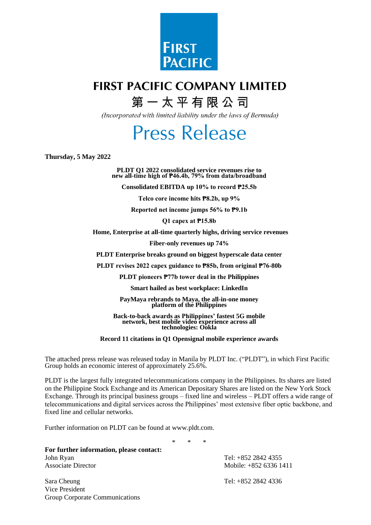

# **FIRST PACIFIC COMPANY LIMITED**

# 第一太平有限公司

(Incorporated with limited liability under the laws of Bermuda)

# **Press Release**

**Thursday, 5 May 2022**

**PLDT Q1 2022 consolidated service revenues rise to new all-time high of ₱46.4b, 79% from data/broadband**

**Consolidated EBITDA up 10% to record ₱25.5b**

**Telco core income hits ₱8.2b, up 9%**

**Reported net income jumps 56% to ₱9.1b**

**Q1 capex at ₱15.8b**

**Home, Enterprise at all-time quarterly highs, driving service revenues**

**Fiber-only revenues up 74%**

**PLDT Enterprise breaks ground on biggest hyperscale data center**

**PLDT revises 2022 capex guidance to ₱85b, from original ₱76-80b**

**PLDT pioneers ₱77b tower deal in the Philippines**

**Smart hailed as best workplace: LinkedIn**

**PayMaya rebrands to Maya, the all-in-one money platform of the Philippines**

**Back-to-back awards as Philippines' fastest 5G mobile network, best mobile video experience across all technologies: Ookla**

**Record 11 citations in Q1 Opensignal mobile experience awards**

The attached press release was released today in Manila by PLDT Inc. ("PLDT"), in which First Pacific Group holds an economic interest of approximately 25.6%.

PLDT is the largest fully integrated telecommunications company in the Philippines. Its shares are listed on the Philippine Stock Exchange and its American Depositary Shares are listed on the New York Stock Exchange. Through its principal business groups – fixed line and wireless – PLDT offers a wide range of telecommunications and digital services across the Philippines' most extensive fiber optic backbone, and fixed line and cellular networks.

Further information on PLDT can be found at [www.pldt.com.](http://www.pldt.com/)

\* \* \*

**For further information, please contact:**  John Ryan Tel: +852 2842 4355 Associate Director Mobile: +852 6336 1411

Sara Cheung Tel: +852 2842 4336 Vice President Group Corporate Communications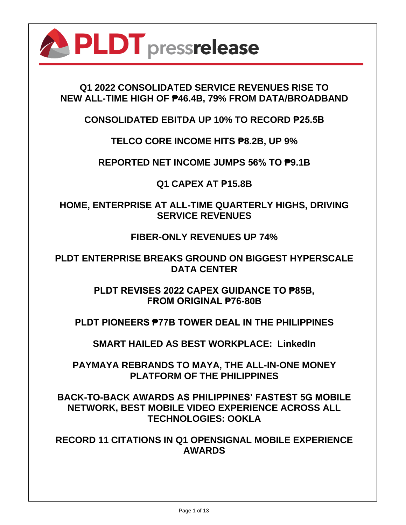

# **Q1 2022 CONSOLIDATED SERVICE REVENUES RISE TO NEW ALL-TIME HIGH OF ₱46.4B, 79% FROM DATA/BROADBAND**

**CONSOLIDATED EBITDA UP 10% TO RECORD ₱25.5B**

**TELCO CORE INCOME HITS ₱8.2B, UP 9%**

**REPORTED NET INCOME JUMPS 56% TO ₱9.1B**

**Q1 CAPEX AT ₱15.8B**

**HOME, ENTERPRISE AT ALL-TIME QUARTERLY HIGHS, DRIVING SERVICE REVENUES**

**FIBER-ONLY REVENUES UP 74%**

**PLDT ENTERPRISE BREAKS GROUND ON BIGGEST HYPERSCALE DATA CENTER**

> **PLDT REVISES 2022 CAPEX GUIDANCE TO ₱85B, FROM ORIGINAL ₱76-80B**

**PLDT PIONEERS ₱77B TOWER DEAL IN THE PHILIPPINES**

**SMART HAILED AS BEST WORKPLACE: LinkedIn**

**PAYMAYA REBRANDS TO MAYA, THE ALL-IN-ONE MONEY PLATFORM OF THE PHILIPPINES**

**BACK-TO-BACK AWARDS AS PHILIPPINES' FASTEST 5G MOBILE NETWORK, BEST MOBILE VIDEO EXPERIENCE ACROSS ALL TECHNOLOGIES: OOKLA**

**RECORD 11 CITATIONS IN Q1 OPENSIGNAL MOBILE EXPERIENCE AWARDS**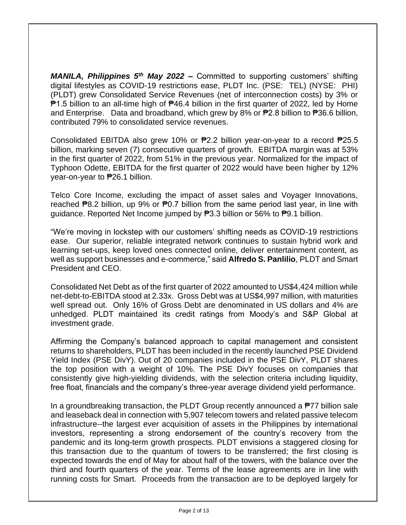*MANILA, Philippines 5th May 2022 –* Committed to supporting customers' shifting digital lifestyles as COVID-19 restrictions ease, PLDT Inc. (PSE: TEL) (NYSE: PHI) (PLDT) grew Consolidated Service Revenues (net of interconnection costs) by 3% or ₱1.5 billion to an all-time high of ₱46.4 billion in the first quarter of 2022, led by Home and Enterprise. Data and broadband, which grew by 8% or  $\overline{P}2.8$  billion to  $\overline{P}36.6$  billion, contributed 79% to consolidated service revenues.

Consolidated EBITDA also grew 10% or ₱2.2 billion year-on-year to a record ₱25.5 billion, marking seven (7) consecutive quarters of growth. EBITDA margin was at 53% in the first quarter of 2022, from 51% in the previous year. Normalized for the impact of Typhoon Odette, EBITDA for the first quarter of 2022 would have been higher by 12% year-on-year to ₱26.1 billion.

Telco Core Income, excluding the impact of asset sales and Voyager Innovations, reached  $\overline{P}8.2$  billion, up 9% or  $\overline{P}0.7$  billion from the same period last year, in line with guidance. Reported Net Income jumped by ₱3.3 billion or 56% to ₱9.1 billion.

"We're moving in lockstep with our customers' shifting needs as COVID-19 restrictions ease. Our superior, reliable integrated network continues to sustain hybrid work and learning set-ups, keep loved ones connected online, deliver entertainment content, as well as support businesses and e-commerce," said **Alfredo S. Panlilio**, PLDT and Smart President and CEO.

Consolidated Net Debt as of the first quarter of 2022 amounted to US\$4,424 million while net-debt-to-EBITDA stood at 2.33x. Gross Debt was at US\$4,997 million, with maturities well spread out. Only 16% of Gross Debt are denominated in US dollars and 4% are unhedged. PLDT maintained its credit ratings from Moody's and S&P Global at investment grade.

Affirming the Company's balanced approach to capital management and consistent returns to shareholders, PLDT has been included in the recently launched PSE Dividend Yield Index (PSE DivY). Out of 20 companies included in the PSE DivY, PLDT shares the top position with a weight of 10%. The PSE DivY focuses on companies that consistently give high-yielding dividends, with the selection criteria including liquidity, free float, financials and the company's three-year average dividend yield performance.

In a groundbreaking transaction, the PLDT Group recently announced a  $\overline{P}$ 77 billion sale and leaseback deal in connection with 5,907 telecom towers and related passive telecom infrastructure--the largest ever acquisition of assets in the Philippines by international investors, representing a strong endorsement of the country's recovery from the pandemic and its long-term growth prospects. PLDT envisions a staggered closing for this transaction due to the quantum of towers to be transferred; the first closing is expected towards the end of May for about half of the towers, with the balance over the third and fourth quarters of the year. Terms of the lease agreements are in line with running costs for Smart. Proceeds from the transaction are to be deployed largely for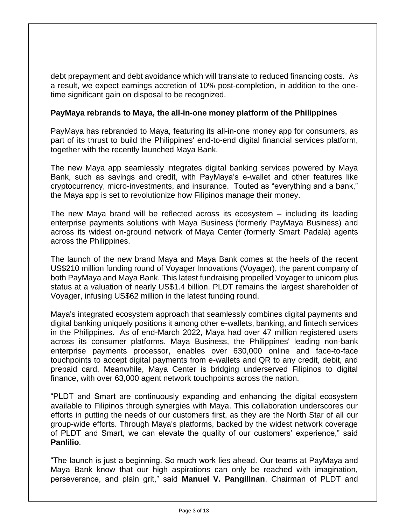debt prepayment and debt avoidance which will translate to reduced financing costs. As a result, we expect earnings accretion of 10% post-completion, in addition to the onetime significant gain on disposal to be recognized.

#### **PayMaya rebrands to Maya, the all-in-one money platform of the Philippines**

PayMaya has rebranded to Maya, featuring its all-in-one money app for consumers, as part of its thrust to build the Philippines' end-to-end digital financial services platform, together with the recently launched Maya Bank.

The new Maya app seamlessly integrates digital banking services powered by Maya Bank, such as savings and credit, with PayMaya's e-wallet and other features like cryptocurrency, micro-investments, and insurance. Touted as "everything and a bank," the Maya app is set to revolutionize how Filipinos manage their money.

The new Maya brand will be reflected across its ecosystem – including its leading enterprise payments solutions with Maya Business (formerly PayMaya Business) and across its widest on-ground network of Maya Center (formerly Smart Padala) agents across the Philippines.

The launch of the new brand Maya and Maya Bank comes at the heels of the recent US\$210 million funding round of Voyager Innovations (Voyager), the parent company of both PayMaya and Maya Bank. This latest fundraising propelled Voyager to unicorn plus status at a valuation of nearly US\$1.4 billion. PLDT remains the largest shareholder of Voyager, infusing US\$62 million in the latest funding round.

Maya's integrated ecosystem approach that seamlessly combines digital payments and digital banking uniquely positions it among other e-wallets, banking, and fintech services in the Philippines. As of end-March 2022, Maya had over 47 million registered users across its consumer platforms. Maya Business, the Philippines' leading non-bank enterprise payments processor, enables over 630,000 online and face-to-face touchpoints to accept digital payments from e-wallets and QR to any credit, debit, and prepaid card. Meanwhile, Maya Center is bridging underserved Filipinos to digital finance, with over 63,000 agent network touchpoints across the nation.

"PLDT and Smart are continuously expanding and enhancing the digital ecosystem available to Filipinos through synergies with Maya. This collaboration underscores our efforts in putting the needs of our customers first, as they are the North Star of all our group-wide efforts. Through Maya's platforms, backed by the widest network coverage of PLDT and Smart, we can elevate the quality of our customers' experience," said **Panlilio**.

"The launch is just a beginning. So much work lies ahead. Our teams at PayMaya and Maya Bank know that our high aspirations can only be reached with imagination, perseverance, and plain grit," said **Manuel V. Pangilinan**, Chairman of PLDT and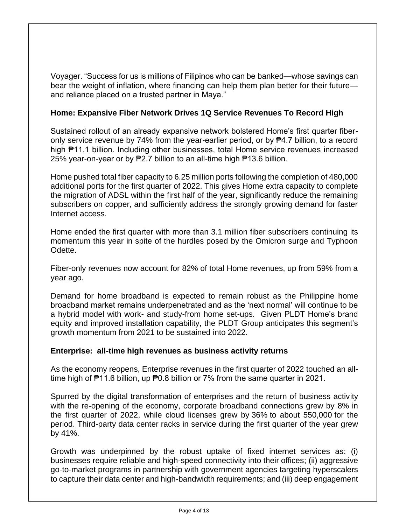Voyager. "Success for us is millions of Filipinos who can be banked—whose savings can bear the weight of inflation, where financing can help them plan better for their future and reliance placed on a trusted partner in Maya."

## **Home: Expansive Fiber Network Drives 1Q Service Revenues To Record High**

Sustained rollout of an already expansive network bolstered Home's first quarter fiberonly service revenue by 74% from the year-earlier period, or by ₱4.7 billion, to a record high ₱11.1 billion. Including other businesses, total Home service revenues increased 25% year-on-year or by ₱2.7 billion to an all-time high ₱13.6 billion.

Home pushed total fiber capacity to 6.25 million ports following the completion of 480,000 additional ports for the first quarter of 2022. This gives Home extra capacity to complete the migration of ADSL within the first half of the year, significantly reduce the remaining subscribers on copper, and sufficiently address the strongly growing demand for faster Internet access.

Home ended the first quarter with more than 3.1 million fiber subscribers continuing its momentum this year in spite of the hurdles posed by the Omicron surge and Typhoon Odette.

Fiber-only revenues now account for 82% of total Home revenues, up from 59% from a year ago.

Demand for home broadband is expected to remain robust as the Philippine home broadband market remains underpenetrated and as the 'next normal' will continue to be a hybrid model with work- and study-from home set-ups. Given PLDT Home's brand equity and improved installation capability, the PLDT Group anticipates this segment's growth momentum from 2021 to be sustained into 2022.

### **Enterprise: all-time high revenues as business activity returns**

As the economy reopens, Enterprise revenues in the first quarter of 2022 touched an alltime high of ₱11.6 billion, up ₱0.8 billion or 7% from the same quarter in 2021.

Spurred by the digital transformation of enterprises and the return of business activity with the re-opening of the economy, corporate broadband connections grew by 8% in the first quarter of 2022, while cloud licenses grew by 36% to about 550,000 for the period. Third-party data center racks in service during the first quarter of the year grew by 41%.

Growth was underpinned by the robust uptake of fixed internet services as: (i) businesses require reliable and high-speed connectivity into their offices; (ii) aggressive go-to-market programs in partnership with government agencies targeting hyperscalers to capture their data center and high-bandwidth requirements; and (iii) deep engagement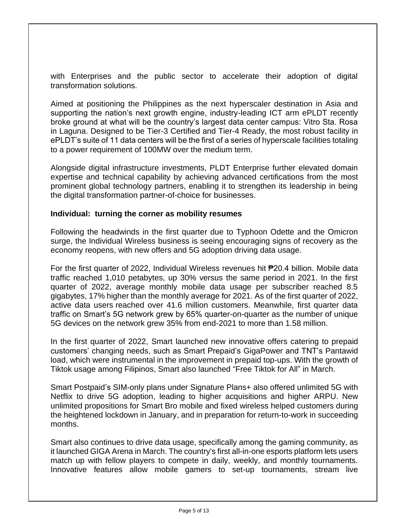with Enterprises and the public sector to accelerate their adoption of digital transformation solutions.

Aimed at positioning the Philippines as the next hyperscaler destination in Asia and supporting the nation's next growth engine, industry-leading ICT arm ePLDT recently broke ground at what will be the country's largest data center campus: Vitro Sta. Rosa in Laguna. Designed to be Tier-3 Certified and Tier-4 Ready, the most robust facility in ePLDT's suite of 11 data centers will be the first of a series of hyperscale facilities totaling to a power requirement of 100MW over the medium term.

Alongside digital infrastructure investments, PLDT Enterprise further elevated domain expertise and technical capability by achieving advanced certifications from the most prominent global technology partners, enabling it to strengthen its leadership in being the digital transformation partner-of-choice for businesses.

#### **Individual: turning the corner as mobility resumes**

Following the headwinds in the first quarter due to Typhoon Odette and the Omicron surge, the Individual Wireless business is seeing encouraging signs of recovery as the economy reopens, with new offers and 5G adoption driving data usage.

For the first quarter of 2022, Individual Wireless revenues hit ₱20.4 billion. Mobile data traffic reached 1,010 petabytes, up 30% versus the same period in 2021. In the first quarter of 2022, average monthly mobile data usage per subscriber reached 8.5 gigabytes, 17% higher than the monthly average for 2021. As of the first quarter of 2022, active data users reached over 41.6 million customers. Meanwhile, first quarter data traffic on Smart's 5G network grew by 65% quarter-on-quarter as the number of unique 5G devices on the network grew 35% from end-2021 to more than 1.58 million.

In the first quarter of 2022, Smart launched new innovative offers catering to prepaid customers' changing needs, such as Smart Prepaid's GigaPower and TNT's Pantawid load, which were instrumental in the improvement in prepaid top-ups. With the growth of Tiktok usage among Filipinos, Smart also launched "Free Tiktok for All" in March.

Smart Postpaid's SIM-only plans under Signature Plans+ also offered unlimited 5G with Netflix to drive 5G adoption, leading to higher acquisitions and higher ARPU. New unlimited propositions for Smart Bro mobile and fixed wireless helped customers during the heightened lockdown in January, and in preparation for return-to-work in succeeding months.

Smart also continues to drive data usage, specifically among the gaming community, as it launched GIGA Arena in March. The country's first all-in-one esports platform lets users match up with fellow players to compete in daily, weekly, and monthly tournaments. Innovative features allow mobile gamers to set-up tournaments, stream live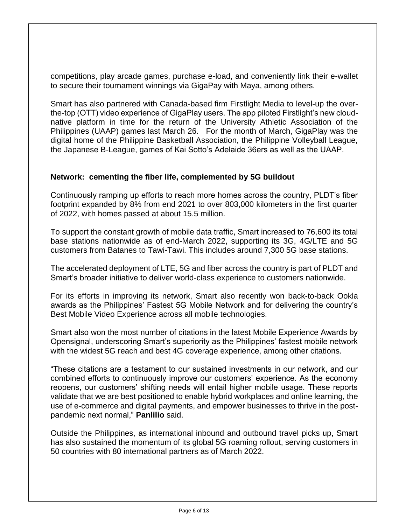competitions, play arcade games, purchase e-load, and conveniently link their e-wallet to secure their tournament winnings via GigaPay with Maya, among others.

Smart has also partnered with Canada-based firm Firstlight Media to level-up the overthe-top (OTT) video experience of GigaPlay users. The app piloted Firstlight's new cloudnative platform in time for the return of the University Athletic Association of the Philippines (UAAP) games last March 26. For the month of March, GigaPlay was the digital home of the Philippine Basketball Association, the Philippine Volleyball League, the Japanese B-League, games of Kai Sotto's Adelaide 36ers as well as the UAAP.

### **Network: cementing the fiber life, complemented by 5G buildout**

Continuously ramping up efforts to reach more homes across the country, PLDT's fiber footprint expanded by 8% from end 2021 to over 803,000 kilometers in the first quarter of 2022, with homes passed at about 15.5 million.

To support the constant growth of mobile data traffic, Smart increased to 76,600 its total base stations nationwide as of end-March 2022, supporting its 3G, 4G/LTE and 5G customers from Batanes to Tawi-Tawi. This includes around 7,300 5G base stations.

The accelerated deployment of LTE, 5G and fiber across the country is part of PLDT and Smart's broader initiative to deliver world-class experience to customers nationwide.

For its efforts in improving its network, Smart also recently won back-to-back Ookla awards as the Philippines' Fastest 5G Mobile Network and for delivering the country's Best Mobile Video Experience across all mobile technologies.

Smart also won the most number of citations in the latest Mobile Experience Awards by Opensignal, underscoring Smart's superiority as the Philippines' fastest mobile network with the widest 5G reach and best 4G coverage experience, among other citations.

"These citations are a testament to our sustained investments in our network, and our combined efforts to continuously improve our customers' experience. As the economy reopens, our customers' shifting needs will entail higher mobile usage. These reports validate that we are best positioned to enable hybrid workplaces and online learning, the use of e-commerce and digital payments, and empower businesses to thrive in the postpandemic next normal," **Panlilio** said.

Outside the Philippines, as international inbound and outbound travel picks up, Smart has also sustained the momentum of its global 5G roaming rollout, serving customers in 50 countries with 80 international partners as of March 2022.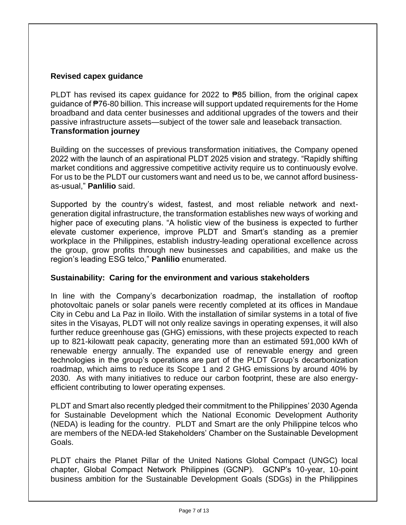# **Revised capex guidance**

PLDT has revised its capex guidance for 2022 to ₱85 billion, from the original capex guidance of ₱76-80 billion. This increase will support updated requirements for the Home broadband and data center businesses and additional upgrades of the towers and their passive infrastructure assets—subject of the tower sale and leaseback transaction. **Transformation journey**

Building on the successes of previous transformation initiatives, the Company opened 2022 with the launch of an aspirational PLDT 2025 vision and strategy. "Rapidly shifting market conditions and aggressive competitive activity require us to continuously evolve. For us to be the PLDT our customers want and need us to be, we cannot afford businessas-usual," **Panlilio** said.

Supported by the country's widest, fastest, and most reliable network and nextgeneration digital infrastructure, the transformation establishes new ways of working and higher pace of executing plans. "A holistic view of the business is expected to further elevate customer experience, improve PLDT and Smart's standing as a premier workplace in the Philippines, establish industry-leading operational excellence across the group, grow profits through new businesses and capabilities, and make us the region's leading ESG telco," **Panlilio** enumerated.

### **Sustainability: Caring for the environment and various stakeholders**

In line with the Company's decarbonization roadmap, the installation of rooftop photovoltaic panels or solar panels were recently completed at its offices in Mandaue City in Cebu and La Paz in Iloilo. With the installation of similar systems in a total of five sites in the Visayas, PLDT will not only realize savings in operating expenses, it will also further reduce greenhouse gas (GHG) emissions, with these projects expected to reach up to 821-kilowatt peak capacity, generating more than an estimated 591,000 kWh of renewable energy annually. The expanded use of renewable energy and green technologies in the group's operations are part of the PLDT Group's decarbonization roadmap, which aims to reduce its Scope 1 and 2 GHG emissions by around 40% by 2030. As with many initiatives to reduce our carbon footprint, these are also energyefficient contributing to lower operating expenses.

PLDT and Smart also recently pledged their commitment to the Philippines' 2030 Agenda for Sustainable Development which the National Economic Development Authority (NEDA) is leading for the country. PLDT and Smart are the only Philippine telcos who are members of the NEDA-led Stakeholders' Chamber on the Sustainable Development Goals.

PLDT chairs the Planet Pillar of the United Nations Global Compact (UNGC) local chapter, Global Compact Network Philippines (GCNP). GCNP's 10-year, 10-point business ambition for the Sustainable Development Goals (SDGs) in the Philippines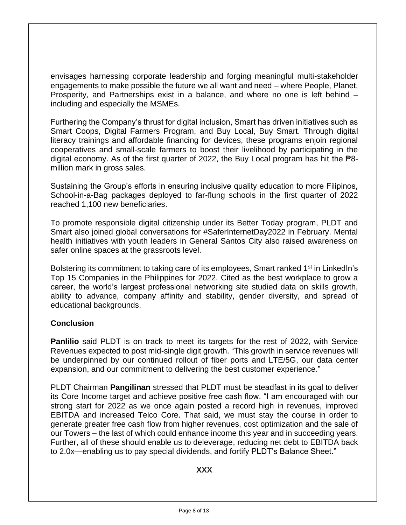envisages harnessing corporate leadership and forging meaningful multi-stakeholder engagements to make possible the future we all want and need – where People, Planet, Prosperity, and Partnerships exist in a balance, and where no one is left behind including and especially the MSMEs.

Furthering the Company's thrust for digital inclusion, Smart has driven initiatives such as Smart Coops, Digital Farmers Program, and Buy Local, Buy Smart. Through digital literacy trainings and affordable financing for devices, these programs enjoin regional cooperatives and small-scale farmers to boost their livelihood by participating in the digital economy. As of the first quarter of 2022, the Buy Local program has hit the  $\overline{P}8$ million mark in gross sales.

Sustaining the Group's efforts in ensuring inclusive quality education to more Filipinos, School-in-a-Bag packages deployed to far-flung schools in the first quarter of 2022 reached 1,100 new beneficiaries.

To promote responsible digital citizenship under its Better Today program, PLDT and Smart also joined global conversations for #SaferInternetDay2022 in February. Mental health initiatives with youth leaders in General Santos City also raised awareness on safer online spaces at the grassroots level.

Bolstering its commitment to taking care of its employees, Smart ranked 1<sup>st</sup> in LinkedIn's Top 15 Companies in the Philippines for 2022. Cited as the best workplace to grow a career, the world's largest professional networking site studied data on skills growth, ability to advance, company affinity and stability, gender diversity, and spread of educational backgrounds.

### **Conclusion**

**Panlilio** said PLDT is on track to meet its targets for the rest of 2022, with Service Revenues expected to post mid-single digit growth. "This growth in service revenues will be underpinned by our continued rollout of fiber ports and LTE/5G, our data center expansion, and our commitment to delivering the best customer experience."

PLDT Chairman **Pangilinan** stressed that PLDT must be steadfast in its goal to deliver its Core Income target and achieve positive free cash flow. "I am encouraged with our strong start for 2022 as we once again posted a record high in revenues, improved EBITDA and increased Telco Core. That said, we must stay the course in order to generate greater free cash flow from higher revenues, cost optimization and the sale of our Towers – the last of which could enhance income this year and in succeeding years. Further, all of these should enable us to deleverage, reducing net debt to EBITDA back to 2.0x—enabling us to pay special dividends, and fortify PLDT's Balance Sheet."

**XXX**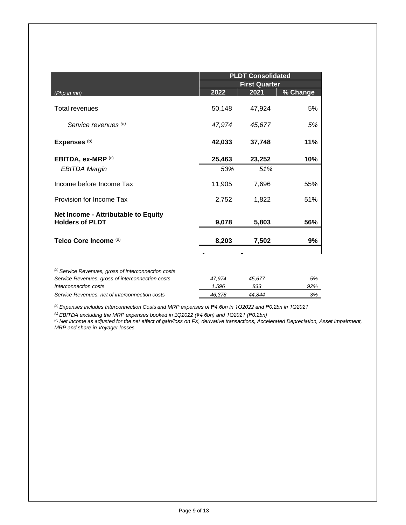| <b>First Quarter</b><br>2021<br>50,148<br>47,924<br>47,974<br>45,677<br>42,033<br>37,748 | % Change<br>5%<br>5%<br>11%              |
|------------------------------------------------------------------------------------------|------------------------------------------|
|                                                                                          |                                          |
|                                                                                          |                                          |
|                                                                                          |                                          |
|                                                                                          |                                          |
| 25,463<br>23,252                                                                         | 10%                                      |
| 51%                                                                                      |                                          |
| 7,696                                                                                    | 55%                                      |
| 1,822                                                                                    | 51%                                      |
|                                                                                          |                                          |
| 5,803                                                                                    | 56%                                      |
| 7,502                                                                                    | 9%                                       |
|                                                                                          | 53%<br>11,905<br>2,752<br>9,078<br>8,203 |

| 47.974 | 45.677 | 5%  |
|--------|--------|-----|
| 1.596  | 833    | 92% |
| 46.378 | 44.844 | 3%  |
|        |        |     |

*(b) Expenses includes Interconnection Costs and MRP expenses of* ₱*4.6bn in 1Q2022 and ₱0.2bn in 1Q2021* 

*(c) EBITDA excluding the MRP expenses booked in 1Q2022 (*₱*4.6bn) and 1Q2021 (₱0.2bn)* 

*(d) Net income as adjusted for the net effect of gain/loss on FX, derivative transactions, Accelerated Depreciation, Asset Impairment, MRP and share in Voyager losses*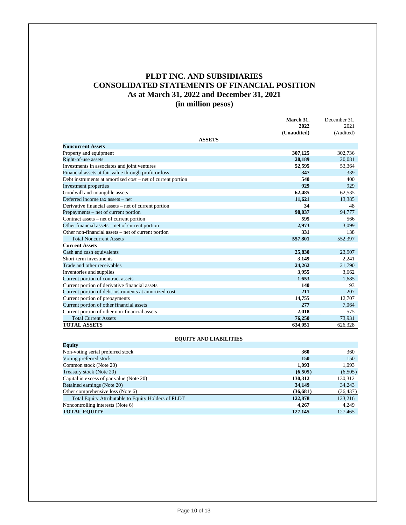## **PLDT INC. AND SUBSIDIARIES CONSOLIDATED STATEMENTS OF FINANCIAL POSITION As at March 31, 2022 and December 31, 2021 (in million pesos)**

|                                                             | March 31,   | December 31, |
|-------------------------------------------------------------|-------------|--------------|
|                                                             | 2022        | 2021         |
|                                                             | (Unaudited) | (Audited)    |
| <b>ASSETS</b>                                               |             |              |
| <b>Noncurrent Assets</b>                                    |             |              |
| Property and equipment                                      | 307,125     | 302,736      |
| Right-of-use assets                                         | 20.189      | 20.081       |
| Investments in associates and joint ventures                | 52,595      | 53,364       |
| Financial assets at fair value through profit or loss       | 347         | 339          |
| Debt instruments at amortized cost – net of current portion | 540         | 400          |
| Investment properties                                       | 929         | 929          |
| Goodwill and intangible assets                              | 62,485      | 62.535       |
| Deferred income tax assets - net                            | 11.621      | 13.385       |
| Derivative financial assets – net of current portion        | 34          | 48           |
| Prepayments – net of current portion                        | 98,037      | 94,777       |
| Contract assets – net of current portion                    | 595         | 566          |
| Other financial assets – net of current portion             | 2.973       | 3.099        |
| Other non-financial assets - net of current portion         | 331         | 138          |
| <b>Total Noncurrent Assets</b>                              | 557,801     | 552.397      |
| <b>Current Assets</b>                                       |             |              |
| Cash and cash equivalents                                   | 25,830      | 23.907       |
| Short-term investments                                      | 3,149       | 2.241        |
| Trade and other receivables                                 | 24,262      | 21,790       |
| Inventories and supplies                                    | 3.955       | 3.662        |
| Current portion of contract assets                          | 1.653       | 1,685        |
| Current portion of derivative financial assets              | 140         | 93           |
| Current portion of debt instruments at amortized cost       | 211         | 207          |
| Current portion of prepayments                              | 14,755      | 12,707       |
| Current portion of other financial assets                   | 277         | 7,064        |
| Current portion of other non-financial assets               | 2.018       | 575          |
| <b>Total Current Assets</b>                                 | 76,250      | 73,931       |
| <b>TOTAL ASSETS</b>                                         | 634,051     | 626,328      |

#### **EQUITY AND LIABILITIES**

| Equity                                              |          |           |
|-----------------------------------------------------|----------|-----------|
| Non-voting serial preferred stock                   | 360      | 360       |
| Voting preferred stock                              | 150      | 150       |
| Common stock (Note 20)                              | 1,093    | 1,093     |
| Treasury stock (Note 20)                            | (6,505)  | (6,505)   |
| Capital in excess of par value (Note 20)            | 130,312  | 130,312   |
| Retained earnings (Note 20)                         | 34,149   | 34,243    |
| Other comprehensive loss (Note 6)                   | (36,681) | (36, 437) |
| Total Equity Attributable to Equity Holders of PLDT | 122,878  | 123,216   |
| Noncontrolling interests (Note 6)                   | 4.267    | 4,249     |
| <b>TOTAL EQUITY</b>                                 | 127,145  | 127,465   |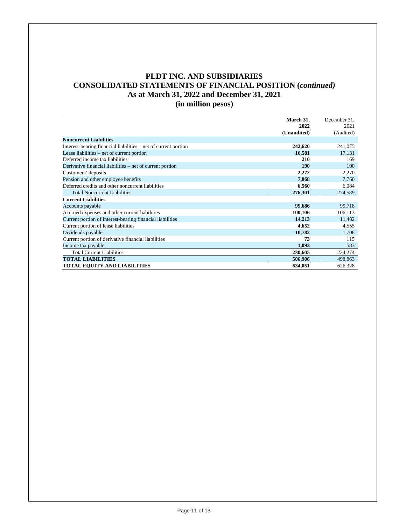#### **PLDT INC. AND SUBSIDIARIES CONSOLIDATED STATEMENTS OF FINANCIAL POSITION (***continued)* **As at March 31, 2022 and December 31, 2021 (in million pesos)**

**March 31, 2022** December 31, 2021 **(Unaudited)** (Audited) **Noncurrent Liabilities** Interest-bearing financial liabilities – net of current portion **242,620** 241,075<br>
Lease liabilities – net of current portion **242,631** 17,131 Lease liabilities – net of current portion Deferred income tax liabilities **210** 169 Derivative financial liabilities – net of current portion **190** 100 Customers' deposits **2,272** 2,270<br> **2,270** 2,270 2,270<br> **2,270** 2,270 2,270 2,270 2,270 2,270 2,270 2,270 2,270 2,270 2,270 2,270 2,270 2,270 2,270 2,270 2,270 2,270 2,270 2,270 2,270 2,270 2,270 2,270 2,270 2,270 2,270 2, Pension and other employee benefits **7,868** 7,760 Deferred credits and other noncurrent liabilities **6,560** 6,084 Total Noncurrent Liabilities **276,301** 274,589 **Current Liabilities** Accounts payable **99,718 99,686** 99,718 **99,686** 99,718 **99,686** 99,718 **99,686** 99,718 **99,686** 99,718 **99,686** 99,718 **99,886** 99,718 **99,886** 99,718 **99,886** 99,718 **99,886** 99,718 **99,886** 99,718 **99,886** 99,718 **99,** Accrued expenses and other current liabilities **100,106** 106,113<br>
Current portion of interest-bearing financial liabilities **14,213** 11,482 Current portion of interest-bearing financial liabilities **14,213** 11,482 Current portion of lease liabilities **4,652** 4,555 Dividends payable **10,782** 1,708 Current portion of derivative financial liabilities **73** 115<br>
Income tax payable **1,093** 583 Income tax payable Total Current Liabilities **230,605** 224,274 **TOTAL LIABILITIES** 506,906 498,863 **TOTAL EQUITY AND LIABILITIES** 634,051 626,328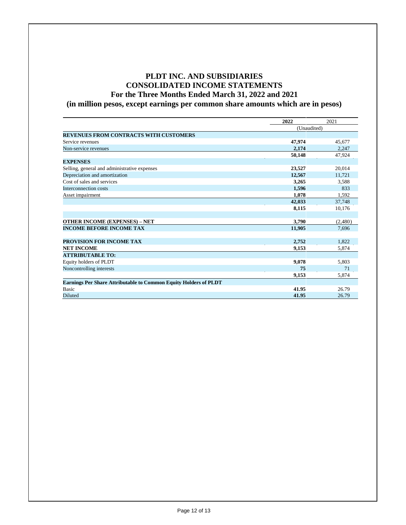### **PLDT INC. AND SUBSIDIARIES CONSOLIDATED INCOME STATEMENTS For the Three Months Ended March 31, 2022 and 2021 (in million pesos, except earnings per common share amounts which are in pesos)**

|                                                                         | 2022        | 2021    |
|-------------------------------------------------------------------------|-------------|---------|
|                                                                         | (Unaudited) |         |
| <b>REVENUES FROM CONTRACTS WITH CUSTOMERS</b>                           |             |         |
| Service revenues                                                        | 47,974      | 45,677  |
| Non-service revenues                                                    | 2,174       | 2,247   |
|                                                                         | 50,148      | 47.924  |
| <b>EXPENSES</b>                                                         |             |         |
| Selling, general and administrative expenses                            | 23,527      | 20,014  |
| Depreciation and amortization                                           | 12,567      | 11.721  |
| Cost of sales and services                                              | 3,265       | 3,588   |
| Interconnection costs                                                   | 1,596       | 833     |
| Asset impairment                                                        | 1,078       | 1,592   |
|                                                                         | 42,033      | 37,748  |
|                                                                         | 8,115       | 10,176  |
|                                                                         |             |         |
| <b>OTHER INCOME (EXPENSES) - NET</b>                                    | 3,790       | (2,480) |
| <b>INCOME BEFORE INCOME TAX</b>                                         | 11,905      | 7,696   |
|                                                                         |             |         |
| PROVISION FOR INCOME TAX                                                | 2.752       | 1.822   |
| <b>NET INCOME</b>                                                       | 9,153       | 5,874   |
| <b>ATTRIBUTABLE TO:</b>                                                 |             |         |
| Equity holders of PLDT                                                  | 9,078       | 5,803   |
| Noncontrolling interests                                                | 75          | 71      |
|                                                                         | 9,153       | 5,874   |
| <b>Earnings Per Share Attributable to Common Equity Holders of PLDT</b> |             |         |
| <b>Basic</b>                                                            | 41.95       | 26.79   |
| <b>Diluted</b>                                                          | 41.95       | 26.79   |